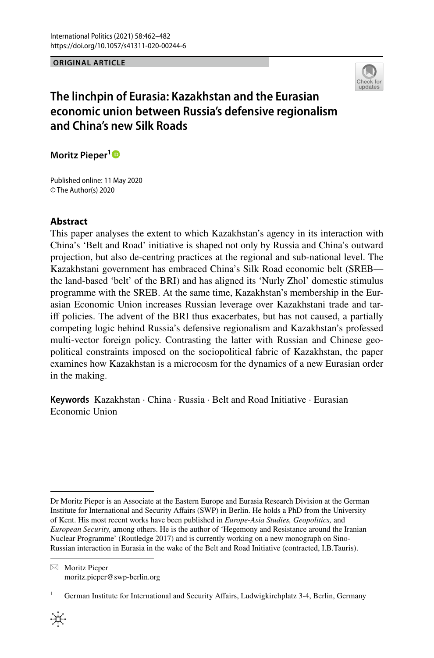**ORIGINAL ARTICLE**



# **The linchpin of Eurasia: Kazakhstan and the Eurasian economic union between Russia's defensive regionalism and China's new Silk Roads**

**Moritz Pieper[1](http://orcid.org/0000-0003-3915-5424)**

Published online: 11 May 2020 © The Author(s) 2020

# **Abstract**

This paper analyses the extent to which Kazakhstan's agency in its interaction with China's 'Belt and Road' initiative is shaped not only by Russia and China's outward projection, but also de-centring practices at the regional and sub-national level. The Kazakhstani government has embraced China's Silk Road economic belt (SREB the land-based 'belt' of the BRI) and has aligned its 'Nurly Zhol' domestic stimulus programme with the SREB. At the same time, Kazakhstan's membership in the Eurasian Economic Union increases Russian leverage over Kazakhstani trade and tarif policies. The advent of the BRI thus exacerbates, but has not caused, a partially competing logic behind Russia's defensive regionalism and Kazakhstan's professed multi-vector foreign policy. Contrasting the latter with Russian and Chinese geopolitical constraints imposed on the sociopolitical fabric of Kazakhstan, the paper examines how Kazakhstan is a microcosm for the dynamics of a new Eurasian order in the making.

**Keywords** Kazakhstan · China · Russia · Belt and Road Initiative · Eurasian Economic Union

<sup>1</sup> German Institute for International and Security Afairs, Ludwigkirchplatz 3-4, Berlin, Germany



Dr Moritz Pieper is an Associate at the Eastern Europe and Eurasia Research Division at the German Institute for International and Security Afairs (SWP) in Berlin. He holds a PhD from the University of Kent. His most recent works have been published in *Europe*-*Asia Studies, Geopolitics,* and *European Security,* among others. He is the author of 'Hegemony and Resistance around the Iranian Nuclear Programme' (Routledge 2017) and is currently working on a new monograph on Sino-Russian interaction in Eurasia in the wake of the Belt and Road Initiative (contracted, I.B.Tauris).

 $\boxtimes$  Moritz Pieper moritz.pieper@swp-berlin.org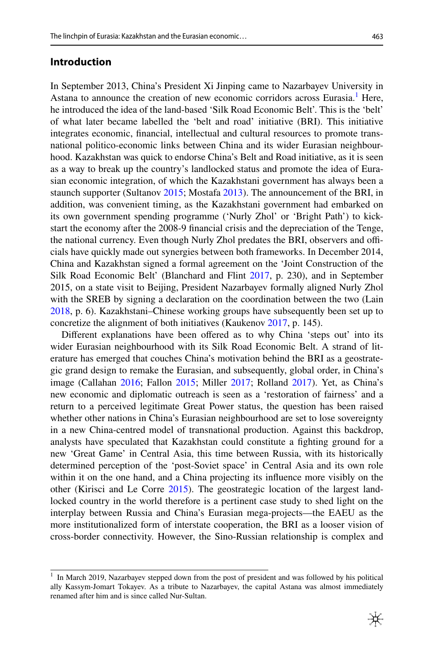#### **Introduction**

In September 2013, China's President Xi Jinping came to Nazarbayev University in Astana to announce the creation of new economic corridors across Eurasia.<sup>[1](#page-1-0)</sup> Here, he introduced the idea of the land-based 'Silk Road Economic Belt'. This is the 'belt' of what later became labelled the 'belt and road' initiative (BRI). This initiative integrates economic, fnancial, intellectual and cultural resources to promote transnational politico-economic links between China and its wider Eurasian neighbourhood. Kazakhstan was quick to endorse China's Belt and Road initiative, as it is seen as a way to break up the country's landlocked status and promote the idea of Eurasian economic integration, of which the Kazakhstani government has always been a staunch supporter (Sultanov [2015;](#page-20-0) Mostafa [2013](#page-19-0)). The announcement of the BRI, in addition, was convenient timing, as the Kazakhstani government had embarked on its own government spending programme ('Nurly Zhol' or 'Bright Path') to kickstart the economy after the 2008-9 fnancial crisis and the depreciation of the Tenge, the national currency. Even though Nurly Zhol predates the BRI, observers and officials have quickly made out synergies between both frameworks. In December 2014, China and Kazakhstan signed a formal agreement on the 'Joint Construction of the Silk Road Economic Belt' (Blanchard and Flint [2017](#page-18-0), p. 230), and in September 2015, on a state visit to Beijing, President Nazarbayev formally aligned Nurly Zhol with the SREB by signing a declaration on the coordination between the two (Lain [2018](#page-19-1), p. 6). Kazakhstani–Chinese working groups have subsequently been set up to concretize the alignment of both initiatives (Kaukenov [2017](#page-19-2), p. 145).

Different explanations have been offered as to why China 'steps out' into its wider Eurasian neighbourhood with its Silk Road Economic Belt. A strand of literature has emerged that couches China's motivation behind the BRI as a geostrategic grand design to remake the Eurasian, and subsequently, global order, in China's image (Callahan [2016](#page-18-1); Fallon [2015](#page-18-2); Miller [2017;](#page-19-3) Rolland [2017\)](#page-20-1). Yet, as China's new economic and diplomatic outreach is seen as a 'restoration of fairness' and a return to a perceived legitimate Great Power status, the question has been raised whether other nations in China's Eurasian neighbourhood are set to lose sovereignty in a new China-centred model of transnational production. Against this backdrop, analysts have speculated that Kazakhstan could constitute a fghting ground for a new 'Great Game' in Central Asia, this time between Russia, with its historically determined perception of the 'post-Soviet space' in Central Asia and its own role within it on the one hand, and a China projecting its infuence more visibly on the other (Kirisci and Le Corre [2015\)](#page-19-4). The geostrategic location of the largest landlocked country in the world therefore is a pertinent case study to shed light on the interplay between Russia and China's Eurasian mega-projects—the EAEU as the more institutionalized form of interstate cooperation, the BRI as a looser vision of cross-border connectivity. However, the Sino-Russian relationship is complex and

<span id="page-1-0"></span> $1$  In March 2019, Nazarbayev stepped down from the post of president and was followed by his political ally Kassym-Jomart Tokayev. As a tribute to Nazarbayev, the capital Astana was almost immediately renamed after him and is since called Nur-Sultan.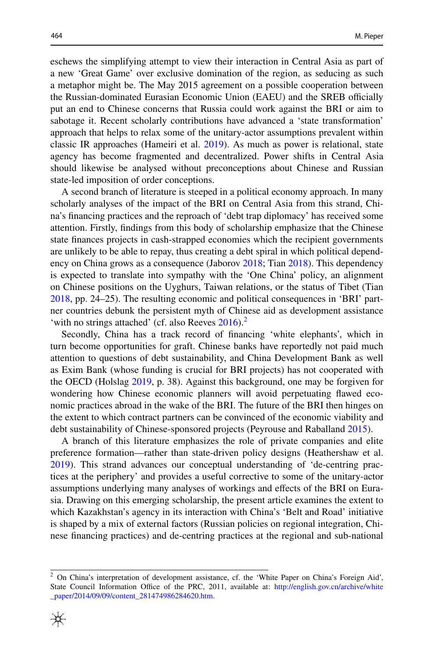eschews the simplifying attempt to view their interaction in Central Asia as part of a new 'Great Game' over exclusive domination of the region, as seducing as such a metaphor might be. The May 2015 agreement on a possible cooperation between the Russian-dominated Eurasian Economic Union (EAEU) and the SREB officially put an end to Chinese concerns that Russia could work against the BRI or aim to sabotage it. Recent scholarly contributions have advanced a 'state transformation' approach that helps to relax some of the unitary-actor assumptions prevalent within classic IR approaches (Hameiri et al. [2019\)](#page-18-3). As much as power is relational, state agency has become fragmented and decentralized. Power shifts in Central Asia should likewise be analysed without preconceptions about Chinese and Russian state-led imposition of order conceptions.

A second branch of literature is steeped in a political economy approach. In many scholarly analyses of the impact of the BRI on Central Asia from this strand, China's fnancing practices and the reproach of 'debt trap diplomacy' has received some attention. Firstly, fndings from this body of scholarship emphasize that the Chinese state fnances projects in cash-strapped economies which the recipient governments are unlikely to be able to repay, thus creating a debt spiral in which political dependency on China grows as a consequence (Jaborov [2018](#page-19-5); Tian [2018](#page-20-2)). This dependency is expected to translate into sympathy with the 'One China' policy, an alignment on Chinese positions on the Uyghurs, Taiwan relations, or the status of Tibet (Tian [2018](#page-20-2), pp. 24–25). The resulting economic and political consequences in 'BRI' partner countries debunk the persistent myth of Chinese aid as development assistance 'with no strings attached' (cf. also Reeves [2016](#page-20-3)).<sup>[2](#page-2-0)</sup>

Secondly, China has a track record of fnancing 'white elephants', which in turn become opportunities for graft. Chinese banks have reportedly not paid much attention to questions of debt sustainability, and China Development Bank as well as Exim Bank (whose funding is crucial for BRI projects) has not cooperated with the OECD (Holslag [2019,](#page-19-6) p. 38). Against this background, one may be forgiven for wondering how Chinese economic planners will avoid perpetuating fawed economic practices abroad in the wake of the BRI. The future of the BRI then hinges on the extent to which contract partners can be convinced of the economic viability and debt sustainability of Chinese-sponsored projects (Peyrouse and Raballand [2015](#page-19-7)).

A branch of this literature emphasizes the role of private companies and elite preference formation—rather than state-driven policy designs (Heathershaw et al. [2019](#page-18-4)). This strand advances our conceptual understanding of 'de-centring practices at the periphery' and provides a useful corrective to some of the unitary-actor assumptions underlying many analyses of workings and efects of the BRI on Eurasia. Drawing on this emerging scholarship, the present article examines the extent to which Kazakhstan's agency in its interaction with China's 'Belt and Road' initiative is shaped by a mix of external factors (Russian policies on regional integration, Chinese fnancing practices) and de-centring practices at the regional and sub-national



<span id="page-2-0"></span><sup>2</sup> On China's interpretation of development assistance, cf. the 'White Paper on China's Foreign Aid', State Council Information Office of the PRC, 2011, available at: [http://english.gov.cn/archive/white](http://english.gov.cn/archive/white_paper/2014/09/09/content_281474986284620.htm) [\\_paper/2014/09/09/content\\_281474986284620.htm.](http://english.gov.cn/archive/white_paper/2014/09/09/content_281474986284620.htm)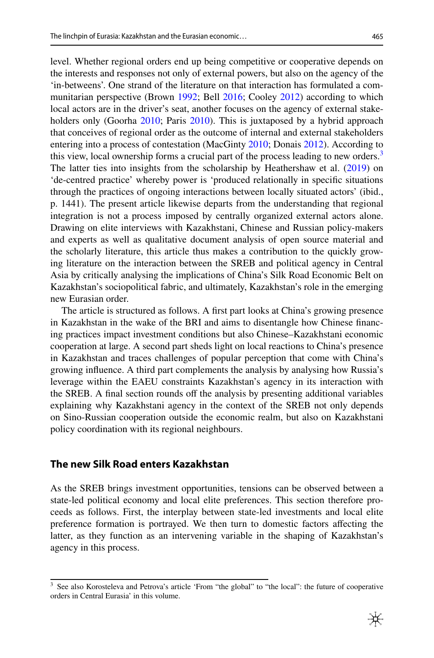level. Whether regional orders end up being competitive or cooperative depends on the interests and responses not only of external powers, but also on the agency of the 'in-betweens'. One strand of the literature on that interaction has formulated a communitarian perspective (Brown [1992;](#page-18-5) Bell [2016;](#page-17-0) Cooley [2012\)](#page-18-6) according to which local actors are in the driver's seat, another focuses on the agency of external stake-holders only (Goorha [2010](#page-19-8); Paris 2010). This is juxtaposed by a hybrid approach that conceives of regional order as the outcome of internal and external stakeholders entering into a process of contestation (MacGinty [2010;](#page-19-9) Donais [2012\)](#page-18-8). According to this view, local ownership forms a crucial part of the process leading to new orders.<sup>[3](#page-3-0)</sup> The latter ties into insights from the scholarship by Heathershaw et al. [\(2019](#page-18-4)) on 'de-centred practice' whereby power is 'produced relationally in specifc situations through the practices of ongoing interactions between locally situated actors' (ibid., p. 1441). The present article likewise departs from the understanding that regional integration is not a process imposed by centrally organized external actors alone. Drawing on elite interviews with Kazakhstani, Chinese and Russian policy-makers and experts as well as qualitative document analysis of open source material and the scholarly literature, this article thus makes a contribution to the quickly growing literature on the interaction between the SREB and political agency in Central Asia by critically analysing the implications of China's Silk Road Economic Belt on Kazakhstan's sociopolitical fabric, and ultimately, Kazakhstan's role in the emerging new Eurasian order.

The article is structured as follows. A frst part looks at China's growing presence in Kazakhstan in the wake of the BRI and aims to disentangle how Chinese fnancing practices impact investment conditions but also Chinese–Kazakhstani economic cooperation at large. A second part sheds light on local reactions to China's presence in Kazakhstan and traces challenges of popular perception that come with China's growing infuence. A third part complements the analysis by analysing how Russia's leverage within the EAEU constraints Kazakhstan's agency in its interaction with the SREB. A fnal section rounds of the analysis by presenting additional variables explaining why Kazakhstani agency in the context of the SREB not only depends on Sino-Russian cooperation outside the economic realm, but also on Kazakhstani policy coordination with its regional neighbours.

#### **The new Silk Road enters Kazakhstan**

As the SREB brings investment opportunities, tensions can be observed between a state-led political economy and local elite preferences. This section therefore proceeds as follows. First, the interplay between state-led investments and local elite preference formation is portrayed. We then turn to domestic factors afecting the latter, as they function as an intervening variable in the shaping of Kazakhstan's agency in this process.

<span id="page-3-0"></span><sup>&</sup>lt;sup>3</sup> See also Korosteleva and Petrova's article 'From "the global" to "the local": the future of cooperative orders in Central Eurasia' in this volume.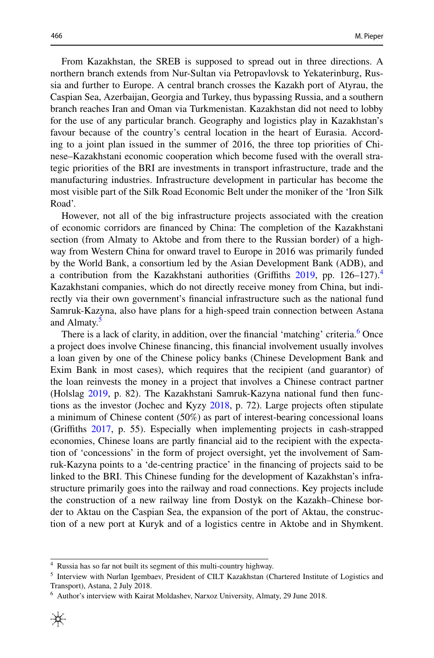From Kazakhstan, the SREB is supposed to spread out in three directions. A northern branch extends from Nur-Sultan via Petropavlovsk to Yekaterinburg, Russia and further to Europe. A central branch crosses the Kazakh port of Atyrau, the Caspian Sea, Azerbaijan, Georgia and Turkey, thus bypassing Russia, and a southern branch reaches Iran and Oman via Turkmenistan. Kazakhstan did not need to lobby for the use of any particular branch. Geography and logistics play in Kazakhstan's favour because of the country's central location in the heart of Eurasia. According to a joint plan issued in the summer of 2016, the three top priorities of Chinese–Kazakhstani economic cooperation which become fused with the overall strategic priorities of the BRI are investments in transport infrastructure, trade and the manufacturing industries. Infrastructure development in particular has become the most visible part of the Silk Road Economic Belt under the moniker of the 'Iron Silk Road'.

However, not all of the big infrastructure projects associated with the creation of economic corridors are fnanced by China: The completion of the Kazakhstani section (from Almaty to Aktobe and from there to the Russian border) of a highway from Western China for onward travel to Europe in 2016 was primarily funded by the World Bank, a consortium led by the Asian Development Bank (ADB), and a contribution from the Kazakhstani authorities (Griffiths  $2019$ , pp. 126–127).<sup>[4](#page-4-0)</sup> Kazakhstani companies, which do not directly receive money from China, but indirectly via their own government's fnancial infrastructure such as the national fund Samruk-Kazyna, also have plans for a high-speed train connection between Astana and Almaty.<sup>[5](#page-4-1)</sup>

There is a lack of clarity, in addition, over the financial 'matching' criteria.<sup>6</sup> Once a project does involve Chinese fnancing, this fnancial involvement usually involves a loan given by one of the Chinese policy banks (Chinese Development Bank and Exim Bank in most cases), which requires that the recipient (and guarantor) of the loan reinvests the money in a project that involves a Chinese contract partner (Holslag [2019](#page-19-6), p. 82). The Kazakhstani Samruk-Kazyna national fund then functions as the investor (Jochec and Kyzy [2018,](#page-19-10) p. 72). Large projects often stipulate a minimum of Chinese content (50%) as part of interest-bearing concessional loans (Grifths [2017,](#page-18-10) p. 55). Especially when implementing projects in cash-strapped economies, Chinese loans are partly fnancial aid to the recipient with the expectation of 'concessions' in the form of project oversight, yet the involvement of Samruk-Kazyna points to a 'de-centring practice' in the fnancing of projects said to be linked to the BRI. This Chinese funding for the development of Kazakhstan's infrastructure primarily goes into the railway and road connections. Key projects include the construction of a new railway line from Dostyk on the Kazakh–Chinese border to Aktau on the Caspian Sea, the expansion of the port of Aktau, the construction of a new port at Kuryk and of a logistics centre in Aktobe and in Shymkent.

<span id="page-4-0"></span><sup>4</sup> Russia has so far not built its segment of this multi-country highway.

<span id="page-4-1"></span><sup>5</sup> Interview with Nurlan Igembaev, President of CILT Kazakhstan (Chartered Institute of Logistics and Transport), Astana, 2 July 2018.

<span id="page-4-2"></span><sup>6</sup> Author's interview with Kairat Moldashev, Narxoz University, Almaty, 29 June 2018.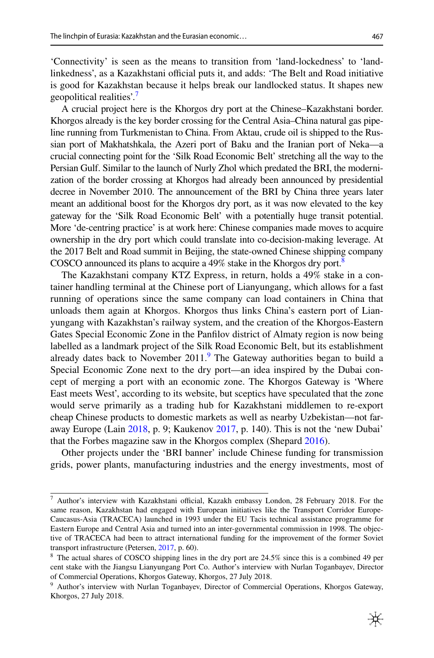'Connectivity' is seen as the means to transition from 'land-lockedness' to 'landlinkedness', as a Kazakhstani official puts it, and adds: 'The Belt and Road initiative is good for Kazakhstan because it helps break our landlocked status. It shapes new geopolitical realities'.[7](#page-5-0)

A crucial project here is the Khorgos dry port at the Chinese–Kazakhstani border. Khorgos already is the key border crossing for the Central Asia–China natural gas pipeline running from Turkmenistan to China. From Aktau, crude oil is shipped to the Russian port of Makhatshkala, the Azeri port of Baku and the Iranian port of Neka—a crucial connecting point for the 'Silk Road Economic Belt' stretching all the way to the Persian Gulf. Similar to the launch of Nurly Zhol which predated the BRI, the modernization of the border crossing at Khorgos had already been announced by presidential decree in November 2010. The announcement of the BRI by China three years later meant an additional boost for the Khorgos dry port, as it was now elevated to the key gateway for the 'Silk Road Economic Belt' with a potentially huge transit potential. More 'de-centring practice' is at work here: Chinese companies made moves to acquire ownership in the dry port which could translate into co-decision-making leverage. At the 2017 Belt and Road summit in Beijing, the state-owned Chinese shipping company COSCO announced its plans to acquire a 49% stake in the Khorgos dry port.<sup>[8](#page-5-1)</sup>

The Kazakhstani company KTZ Express, in return, holds a 49% stake in a container handling terminal at the Chinese port of Lianyungang, which allows for a fast running of operations since the same company can load containers in China that unloads them again at Khorgos. Khorgos thus links China's eastern port of Lianyungang with Kazakhstan's railway system, and the creation of the Khorgos-Eastern Gates Special Economic Zone in the Panflov district of Almaty region is now being labelled as a landmark project of the Silk Road Economic Belt, but its establishment already dates back to November  $2011<sup>9</sup>$  $2011<sup>9</sup>$  $2011<sup>9</sup>$ . The Gateway authorities began to build a Special Economic Zone next to the dry port—an idea inspired by the Dubai concept of merging a port with an economic zone. The Khorgos Gateway is 'Where East meets West', according to its website, but sceptics have speculated that the zone would serve primarily as a trading hub for Kazakhstani middlemen to re-export cheap Chinese products to domestic markets as well as nearby Uzbekistan—not faraway Europe (Lain [2018,](#page-19-1) p. 9; Kaukenov [2017](#page-19-2), p. 140). This is not the 'new Dubai' that the Forbes magazine saw in the Khorgos complex (Shepard [2016\)](#page-20-4).

Other projects under the 'BRI banner' include Chinese funding for transmission grids, power plants, manufacturing industries and the energy investments, most of

<span id="page-5-0"></span> $7$  Author's interview with Kazakhstani official, Kazakh embassy London, 28 February 2018. For the same reason, Kazakhstan had engaged with European initiatives like the Transport Corridor Europe-Caucasus-Asia (TRACECA) launched in 1993 under the EU Tacis technical assistance programme for Eastern Europe and Central Asia and turned into an inter-governmental commission in 1998. The objective of TRACECA had been to attract international funding for the improvement of the former Soviet transport infrastructure (Petersen, [2017](#page-19-11), p. 60).

<span id="page-5-1"></span><sup>8</sup> The actual shares of COSCO shipping lines in the dry port are 24.5% since this is a combined 49 per cent stake with the Jiangsu Lianyungang Port Co. Author's interview with Nurlan Toganbayev, Director of Commercial Operations, Khorgos Gateway, Khorgos, 27 July 2018.

<span id="page-5-2"></span><sup>&</sup>lt;sup>9</sup> Author's interview with Nurlan Toganbayev, Director of Commercial Operations, Khorgos Gateway, Khorgos, 27 July 2018.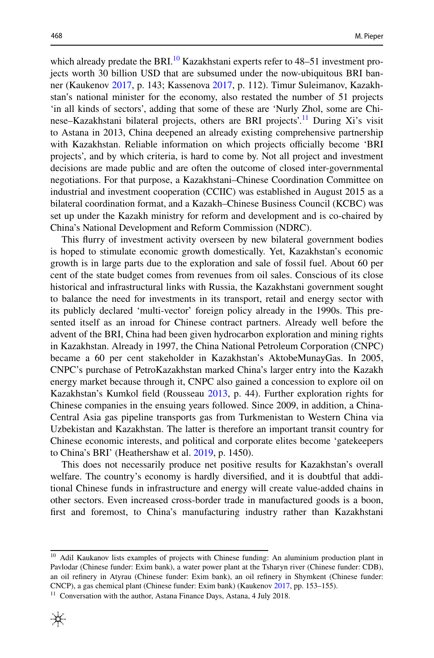which already predate the BRI.<sup>10</sup> Kazakhstani experts refer to  $48-51$  investment projects worth 30 billion USD that are subsumed under the now-ubiquitous BRI banner (Kaukenov [2017](#page-19-2), p. 143; Kassenova [2017](#page-19-12), p. 112). Timur Suleimanov, Kazakhstan's national minister for the economy, also restated the number of 51 projects 'in all kinds of sectors', adding that some of these are 'Nurly Zhol, some are Chinese–Kazakhstani bilateral projects, others are BRI projects<sup>''</sup>.<sup>11</sup> During Xi's visit to Astana in 2013, China deepened an already existing comprehensive partnership with Kazakhstan. Reliable information on which projects officially become 'BRI projects', and by which criteria, is hard to come by. Not all project and investment decisions are made public and are often the outcome of closed inter-governmental negotiations. For that purpose, a Kazakhstani–Chinese Coordination Committee on industrial and investment cooperation (CCIIC) was established in August 2015 as a bilateral coordination format, and a Kazakh–Chinese Business Council (KCBC) was set up under the Kazakh ministry for reform and development and is co-chaired by China's National Development and Reform Commission (NDRC).

This furry of investment activity overseen by new bilateral government bodies is hoped to stimulate economic growth domestically. Yet, Kazakhstan's economic growth is in large parts due to the exploration and sale of fossil fuel. About 60 per cent of the state budget comes from revenues from oil sales. Conscious of its close historical and infrastructural links with Russia, the Kazakhstani government sought to balance the need for investments in its transport, retail and energy sector with its publicly declared 'multi-vector' foreign policy already in the 1990s. This presented itself as an inroad for Chinese contract partners. Already well before the advent of the BRI, China had been given hydrocarbon exploration and mining rights in Kazakhstan. Already in 1997, the China National Petroleum Corporation (CNPC) became a 60 per cent stakeholder in Kazakhstan's AktobeMunayGas. In 2005, CNPC's purchase of PetroKazakhstan marked China's larger entry into the Kazakh energy market because through it, CNPC also gained a concession to explore oil on Kazakhstan's Kumkol feld (Rousseau [2013,](#page-20-5) p. 44). Further exploration rights for Chinese companies in the ensuing years followed. Since 2009, in addition, a China-Central Asia gas pipeline transports gas from Turkmenistan to Western China via Uzbekistan and Kazakhstan. The latter is therefore an important transit country for Chinese economic interests, and political and corporate elites become 'gatekeepers to China's BRI' (Heathershaw et al. [2019](#page-18-4), p. 1450).

This does not necessarily produce net positive results for Kazakhstan's overall welfare. The country's economy is hardly diversifed, and it is doubtful that additional Chinese funds in infrastructure and energy will create value-added chains in other sectors. Even increased cross-border trade in manufactured goods is a boon, frst and foremost, to China's manufacturing industry rather than Kazakhstani

<span id="page-6-0"></span><sup>10</sup> Adil Kaukanov lists examples of projects with Chinese funding: An aluminium production plant in Pavlodar (Chinese funder: Exim bank), a water power plant at the Tsharyn river (Chinese funder: CDB), an oil refnery in Atyrau (Chinese funder: Exim bank), an oil refnery in Shymkent (Chinese funder: CNCP), a gas chemical plant (Chinese funder: Exim bank) (Kaukenov [2017,](#page-19-2) pp. 153–155).

<span id="page-6-1"></span><sup>&</sup>lt;sup>11</sup> Conversation with the author, Astana Finance Days, Astana, 4 July 2018.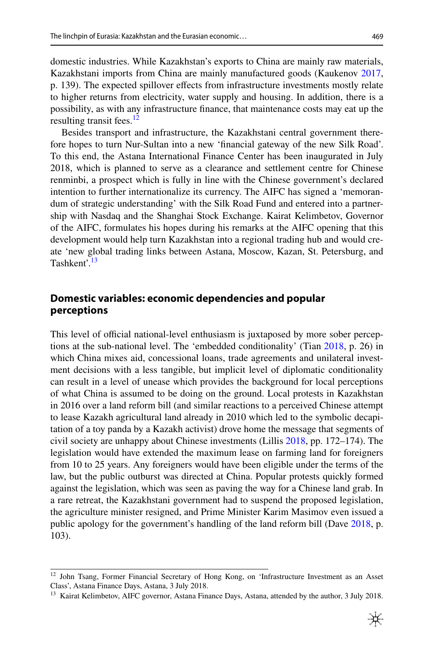domestic industries. While Kazakhstan's exports to China are mainly raw materials, Kazakhstani imports from China are mainly manufactured goods (Kaukenov [2017,](#page-19-2) p. 139). The expected spillover efects from infrastructure investments mostly relate to higher returns from electricity, water supply and housing. In addition, there is a possibility, as with any infrastructure fnance, that maintenance costs may eat up the resulting transit fees. $12$ 

Besides transport and infrastructure, the Kazakhstani central government therefore hopes to turn Nur-Sultan into a new 'fnancial gateway of the new Silk Road'. To this end, the Astana International Finance Center has been inaugurated in July 2018, which is planned to serve as a clearance and settlement centre for Chinese renminbi, a prospect which is fully in line with the Chinese government's declared intention to further internationalize its currency. The AIFC has signed a 'memorandum of strategic understanding' with the Silk Road Fund and entered into a partnership with Nasdaq and the Shanghai Stock Exchange. Kairat Kelimbetov, Governor of the AIFC, formulates his hopes during his remarks at the AIFC opening that this development would help turn Kazakhstan into a regional trading hub and would create 'new global trading links between Astana, Moscow, Kazan, St. Petersburg, and Tashkent'.[13](#page-7-1)

## **Domestic variables: economic dependencies and popular perceptions**

This level of official national-level enthusiasm is juxtaposed by more sober perceptions at the sub-national level. The 'embedded conditionality' (Tian [2018](#page-20-2), p. 26) in which China mixes aid, concessional loans, trade agreements and unilateral investment decisions with a less tangible, but implicit level of diplomatic conditionality can result in a level of unease which provides the background for local perceptions of what China is assumed to be doing on the ground. Local protests in Kazakhstan in 2016 over a land reform bill (and similar reactions to a perceived Chinese attempt to lease Kazakh agricultural land already in 2010 which led to the symbolic decapitation of a toy panda by a Kazakh activist) drove home the message that segments of civil society are unhappy about Chinese investments (Lillis [2018,](#page-19-13) pp. 172–174). The legislation would have extended the maximum lease on farming land for foreigners from 10 to 25 years. Any foreigners would have been eligible under the terms of the law, but the public outburst was directed at China. Popular protests quickly formed against the legislation, which was seen as paving the way for a Chinese land grab. In a rare retreat, the Kazakhstani government had to suspend the proposed legislation, the agriculture minister resigned, and Prime Minister Karim Masimov even issued a public apology for the government's handling of the land reform bill (Dave [2018,](#page-18-11) p. 103).

<span id="page-7-0"></span><sup>&</sup>lt;sup>12</sup> John Tsang, Former Financial Secretary of Hong Kong, on 'Infrastructure Investment as an Asset Class', Astana Finance Days, Astana, 3 July 2018.

<span id="page-7-1"></span><sup>&</sup>lt;sup>13</sup> Kairat Kelimbetov, AIFC governor, Astana Finance Days, Astana, attended by the author, 3 July 2018.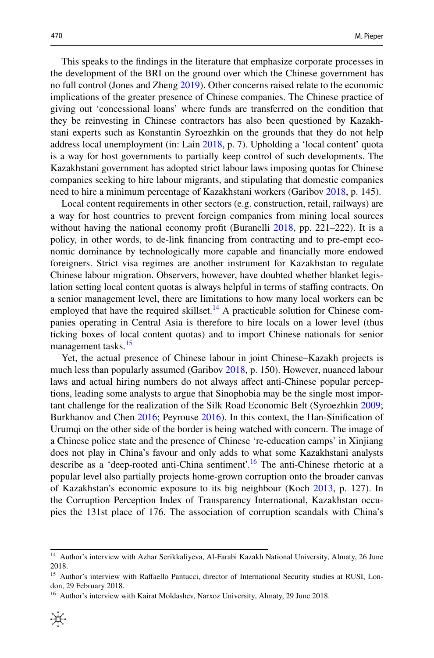This speaks to the fndings in the literature that emphasize corporate processes in the development of the BRI on the ground over which the Chinese government has no full control (Jones and Zheng [2019\)](#page-19-14). Other concerns raised relate to the economic implications of the greater presence of Chinese companies. The Chinese practice of giving out 'concessional loans' where funds are transferred on the condition that they be reinvesting in Chinese contractors has also been questioned by Kazakhstani experts such as Konstantin Syroezhkin on the grounds that they do not help address local unemployment (in: Lain [2018](#page-19-1), p. 7). Upholding a 'local content' quota is a way for host governments to partially keep control of such developments. The Kazakhstani government has adopted strict labour laws imposing quotas for Chinese companies seeking to hire labour migrants, and stipulating that domestic companies need to hire a minimum percentage of Kazakhstani workers (Garibov [2018](#page-18-12), p. 145).

Local content requirements in other sectors (e.g. construction, retail, railways) are a way for host countries to prevent foreign companies from mining local sources without having the national economy profit (Buranelli [2018](#page-18-13), pp. 221–222). It is a policy, in other words, to de-link fnancing from contracting and to pre-empt economic dominance by technologically more capable and fnancially more endowed foreigners. Strict visa regimes are another instrument for Kazakhstan to regulate Chinese labour migration. Observers, however, have doubted whether blanket legislation setting local content quotas is always helpful in terms of staffing contracts. On a senior management level, there are limitations to how many local workers can be employed that have the required skillset.<sup>[14](#page-8-0)</sup> A practicable solution for Chinese companies operating in Central Asia is therefore to hire locals on a lower level (thus ticking boxes of local content quotas) and to import Chinese nationals for senior management tasks.<sup>[15](#page-8-1)</sup>

Yet, the actual presence of Chinese labour in joint Chinese–Kazakh projects is much less than popularly assumed (Garibov [2018](#page-18-12), p. 150). However, nuanced labour laws and actual hiring numbers do not always afect anti-Chinese popular perceptions, leading some analysts to argue that Sinophobia may be the single most important challenge for the realization of the Silk Road Economic Belt (Syroezhkin [2009;](#page-20-6) Burkhanov and Chen [2016](#page-18-14); Peyrouse [2016](#page-19-15)). In this context, the Han-Sinifcation of Urumqi on the other side of the border is being watched with concern. The image of a Chinese police state and the presence of Chinese 're-education camps' in Xinjiang does not play in China's favour and only adds to what some Kazakhstani analysts describe as a 'deep-rooted anti-China sentiment'.<sup>[16](#page-8-2)</sup> The anti-Chinese rhetoric at a popular level also partially projects home-grown corruption onto the broader canvas of Kazakhstan's economic exposure to its big neighbour (Koch [2013](#page-19-16), p. 127). In the Corruption Perception Index of Transparency International, Kazakhstan occupies the 131st place of 176. The association of corruption scandals with China's

<span id="page-8-0"></span><sup>&</sup>lt;sup>14</sup> Author's interview with Azhar Serikkaliyeva, Al-Farabi Kazakh National University, Almaty, 26 June 2018.

<span id="page-8-1"></span><sup>&</sup>lt;sup>15</sup> Author's interview with Raffaello Pantucci, director of International Security studies at RUSI, London, 29 February 2018.

<span id="page-8-2"></span><sup>&</sup>lt;sup>16</sup> Author's interview with Kairat Moldashev, Narxoz University, Almaty, 29 June 2018.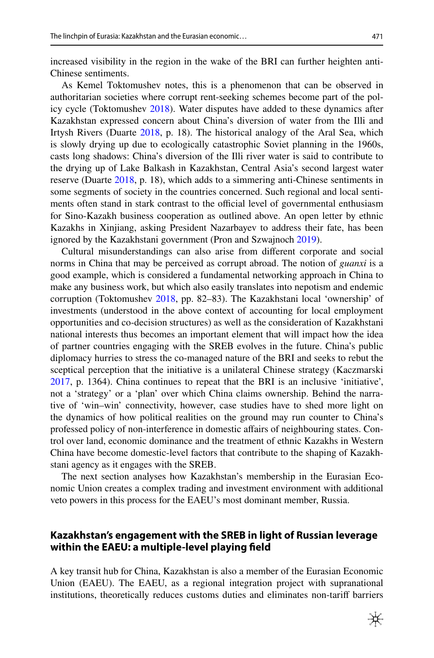increased visibility in the region in the wake of the BRI can further heighten anti-Chinese sentiments.

As Kemel Toktomushev notes, this is a phenomenon that can be observed in authoritarian societies where corrupt rent-seeking schemes become part of the policy cycle (Toktomushev [2018\)](#page-20-7). Water disputes have added to these dynamics after Kazakhstan expressed concern about China's diversion of water from the Illi and Irtysh Rivers (Duarte [2018](#page-18-15), p. 18). The historical analogy of the Aral Sea, which is slowly drying up due to ecologically catastrophic Soviet planning in the 1960s, casts long shadows: China's diversion of the Illi river water is said to contribute to the drying up of Lake Balkash in Kazakhstan, Central Asia's second largest water reserve (Duarte [2018](#page-18-15), p. 18), which adds to a simmering anti-Chinese sentiments in some segments of society in the countries concerned. Such regional and local sentiments often stand in stark contrast to the official level of governmental enthusiasm for Sino-Kazakh business cooperation as outlined above. An open letter by ethnic Kazakhs in Xinjiang, asking President Nazarbayev to address their fate, has been ignored by the Kazakhstani government (Pron and Szwajnoch [2019\)](#page-19-17).

Cultural misunderstandings can also arise from diferent corporate and social norms in China that may be perceived as corrupt abroad. The notion of *guanxi* is a good example, which is considered a fundamental networking approach in China to make any business work, but which also easily translates into nepotism and endemic corruption (Toktomushev [2018,](#page-20-7) pp. 82–83). The Kazakhstani local 'ownership' of investments (understood in the above context of accounting for local employment opportunities and co-decision structures) as well as the consideration of Kazakhstani national interests thus becomes an important element that will impact how the idea of partner countries engaging with the SREB evolves in the future. China's public diplomacy hurries to stress the co-managed nature of the BRI and seeks to rebut the sceptical perception that the initiative is a unilateral Chinese strategy (Kaczmarski [2017](#page-19-18), p. 1364). China continues to repeat that the BRI is an inclusive 'initiative', not a 'strategy' or a 'plan' over which China claims ownership. Behind the narrative of 'win–win' connectivity, however, case studies have to shed more light on the dynamics of how political realities on the ground may run counter to China's professed policy of non-interference in domestic afairs of neighbouring states. Control over land, economic dominance and the treatment of ethnic Kazakhs in Western China have become domestic-level factors that contribute to the shaping of Kazakhstani agency as it engages with the SREB.

The next section analyses how Kazakhstan's membership in the Eurasian Economic Union creates a complex trading and investment environment with additional veto powers in this process for the EAEU's most dominant member, Russia.

# **Kazakhstan's engagement with the SREB in light of Russian leverage within the EAEU: a multiple‑level playing feld**

A key transit hub for China, Kazakhstan is also a member of the Eurasian Economic Union (EAEU). The EAEU, as a regional integration project with supranational institutions, theoretically reduces customs duties and eliminates non-tarif barriers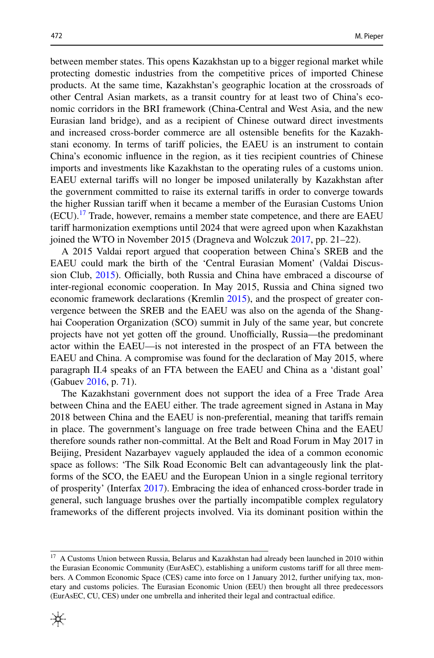between member states. This opens Kazakhstan up to a bigger regional market while protecting domestic industries from the competitive prices of imported Chinese products. At the same time, Kazakhstan's geographic location at the crossroads of other Central Asian markets, as a transit country for at least two of China's economic corridors in the BRI framework (China-Central and West Asia, and the new Eurasian land bridge), and as a recipient of Chinese outward direct investments and increased cross-border commerce are all ostensible benefts for the Kazakhstani economy. In terms of tarif policies, the EAEU is an instrument to contain China's economic infuence in the region, as it ties recipient countries of Chinese imports and investments like Kazakhstan to the operating rules of a customs union. EAEU external tarifs will no longer be imposed unilaterally by Kazakhstan after the government committed to raise its external tarifs in order to converge towards the higher Russian tarif when it became a member of the Eurasian Customs Union (ECU).<sup>17</sup> Trade, however, remains a member state competence, and there are EAEU tariff harmonization exemptions until 2024 that were agreed upon when Kazakhstan joined the WTO in November 2015 (Dragneva and Wolczuk [2017,](#page-18-16) pp. 21–22).

A 2015 Valdai report argued that cooperation between China's SREB and the EAEU could mark the birth of the 'Central Eurasian Moment' (Valdai Discus-sion Club, [2015\)](#page-20-8). Officially, both Russia and China have embraced a discourse of inter-regional economic cooperation. In May 2015, Russia and China signed two economic framework declarations (Kremlin [2015](#page-19-19)), and the prospect of greater convergence between the SREB and the EAEU was also on the agenda of the Shanghai Cooperation Organization (SCO) summit in July of the same year, but concrete projects have not yet gotten off the ground. Unofficially, Russia—the predominant actor within the EAEU—is not interested in the prospect of an FTA between the EAEU and China. A compromise was found for the declaration of May 2015, where paragraph II.4 speaks of an FTA between the EAEU and China as a 'distant goal' (Gabuev [2016,](#page-18-17) p. 71).

The Kazakhstani government does not support the idea of a Free Trade Area between China and the EAEU either. The trade agreement signed in Astana in May 2018 between China and the EAEU is non-preferential, meaning that tarifs remain in place. The government's language on free trade between China and the EAEU therefore sounds rather non-committal. At the Belt and Road Forum in May 2017 in Beijing, President Nazarbayev vaguely applauded the idea of a common economic space as follows: 'The Silk Road Economic Belt can advantageously link the platforms of the SCO, the EAEU and the European Union in a single regional territory of prosperity' (Interfax [2017\)](#page-19-20). Embracing the idea of enhanced cross-border trade in general, such language brushes over the partially incompatible complex regulatory frameworks of the diferent projects involved. Via its dominant position within the

<span id="page-10-0"></span><sup>&</sup>lt;sup>17</sup> A Customs Union between Russia, Belarus and Kazakhstan had already been launched in 2010 within the Eurasian Economic Community (EurAsEC), establishing a uniform customs tarif for all three members. A Common Economic Space (CES) came into force on 1 January 2012, further unifying tax, monetary and customs policies. The Eurasian Economic Union (EEU) then brought all three predecessors (EurAsEC, CU, CES) under one umbrella and inherited their legal and contractual edifce.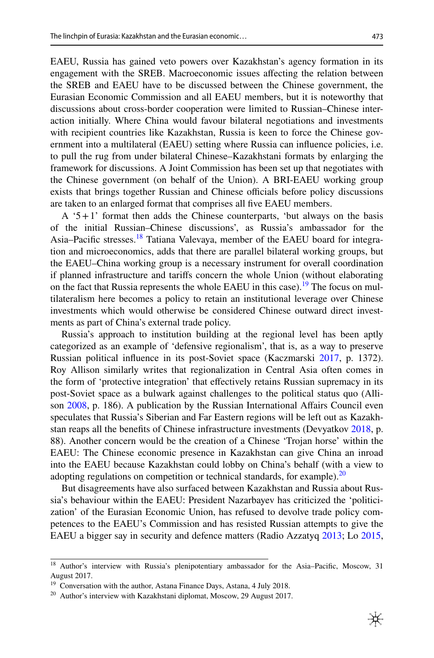EAEU, Russia has gained veto powers over Kazakhstan's agency formation in its engagement with the SREB. Macroeconomic issues afecting the relation between the SREB and EAEU have to be discussed between the Chinese government, the Eurasian Economic Commission and all EAEU members, but it is noteworthy that discussions about cross-border cooperation were limited to Russian–Chinese interaction initially. Where China would favour bilateral negotiations and investments with recipient countries like Kazakhstan, Russia is keen to force the Chinese government into a multilateral (EAEU) setting where Russia can infuence policies, i.e. to pull the rug from under bilateral Chinese–Kazakhstani formats by enlarging the framework for discussions. A Joint Commission has been set up that negotiates with the Chinese government (on behalf of the Union). A BRI-EAEU working group exists that brings together Russian and Chinese officials before policy discussions are taken to an enlarged format that comprises all fve EAEU members.

A ' $5+1$ ' format then adds the Chinese counterparts, 'but always on the basis of the initial Russian–Chinese discussions', as Russia's ambassador for the Asia–Pacifc stresses.[18](#page-11-0) Tatiana Valevaya, member of the EAEU board for integration and microeconomics, adds that there are parallel bilateral working groups, but the EAEU–China working group is a necessary instrument for overall coordination if planned infrastructure and tarifs concern the whole Union (without elaborating on the fact that Russia represents the whole EAEU in this case).<sup>19</sup> The focus on multilateralism here becomes a policy to retain an institutional leverage over Chinese investments which would otherwise be considered Chinese outward direct investments as part of China's external trade policy.

Russia's approach to institution building at the regional level has been aptly categorized as an example of 'defensive regionalism', that is, as a way to preserve Russian political infuence in its post-Soviet space (Kaczmarski [2017,](#page-19-18) p. 1372). Roy Allison similarly writes that regionalization in Central Asia often comes in the form of 'protective integration' that efectively retains Russian supremacy in its post-Soviet space as a bulwark against challenges to the political status quo (Alli-son [2008](#page-17-1), p. 186). A publication by the Russian International Affairs Council even speculates that Russia's Siberian and Far Eastern regions will be left out as Kazakhstan reaps all the benefts of Chinese infrastructure investments (Devyatkov [2018,](#page-18-18) p. 88). Another concern would be the creation of a Chinese 'Trojan horse' within the EAEU: The Chinese economic presence in Kazakhstan can give China an inroad into the EAEU because Kazakhstan could lobby on China's behalf (with a view to adopting regulations on competition or technical standards, for example).<sup>[20](#page-11-2)</sup>

But disagreements have also surfaced between Kazakhstan and Russia about Russia's behaviour within the EAEU: President Nazarbayev has criticized the 'politicization' of the Eurasian Economic Union, has refused to devolve trade policy competences to the EAEU's Commission and has resisted Russian attempts to give the EAEU a bigger say in security and defence matters (Radio Azzatyq [2013](#page-20-9); Lo [2015,](#page-19-21)

<span id="page-11-0"></span><sup>18</sup> Author's interview with Russia's plenipotentiary ambassador for the Asia–Pacifc, Moscow, 31 August 2017.

<span id="page-11-1"></span><sup>&</sup>lt;sup>19</sup> Conversation with the author, Astana Finance Days, Astana, 4 July 2018.

<span id="page-11-2"></span><sup>&</sup>lt;sup>20</sup> Author's interview with Kazakhstani diplomat, Moscow, 29 August 2017.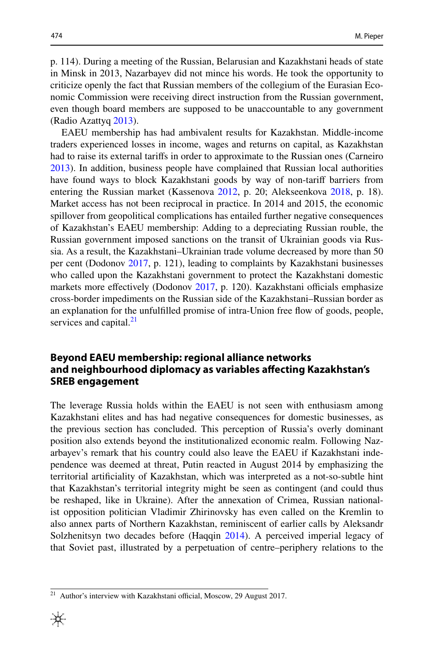p. 114). During a meeting of the Russian, Belarusian and Kazakhstani heads of state in Minsk in 2013, Nazarbayev did not mince his words. He took the opportunity to criticize openly the fact that Russian members of the collegium of the Eurasian Economic Commission were receiving direct instruction from the Russian government, even though board members are supposed to be unaccountable to any government (Radio Azattyq [2013\)](#page-20-9).

EAEU membership has had ambivalent results for Kazakhstan. Middle-income traders experienced losses in income, wages and returns on capital, as Kazakhstan had to raise its external tarifs in order to approximate to the Russian ones (Carneiro [2013](#page-18-19)). In addition, business people have complained that Russian local authorities have found ways to block Kazakhstani goods by way of non-tarif barriers from entering the Russian market (Kassenova [2012,](#page-19-22) p. 20; Alekseenkova [2018,](#page-17-2) p. 18). Market access has not been reciprocal in practice. In 2014 and 2015, the economic spillover from geopolitical complications has entailed further negative consequences of Kazakhstan's EAEU membership: Adding to a depreciating Russian rouble, the Russian government imposed sanctions on the transit of Ukrainian goods via Russia. As a result, the Kazakhstani–Ukrainian trade volume decreased by more than 50 per cent (Dodonov [2017](#page-18-20), p. 121), leading to complaints by Kazakhstani businesses who called upon the Kazakhstani government to protect the Kazakhstani domestic markets more effectively (Dodonov [2017,](#page-18-20) p. 120). Kazakhstani officials emphasize cross-border impediments on the Russian side of the Kazakhstani–Russian border as an explanation for the unfulflled promise of intra-Union free fow of goods, people, services and capital. $21$ 

# **Beyond EAEU membership: regional alliance networks and neighbourhood diplomacy as variables afecting Kazakhstan's SREB engagement**

The leverage Russia holds within the EAEU is not seen with enthusiasm among Kazakhstani elites and has had negative consequences for domestic businesses, as the previous section has concluded. This perception of Russia's overly dominant position also extends beyond the institutionalized economic realm. Following Nazarbayev's remark that his country could also leave the EAEU if Kazakhstani independence was deemed at threat, Putin reacted in August 2014 by emphasizing the territorial artifciality of Kazakhstan, which was interpreted as a not-so-subtle hint that Kazakhstan's territorial integrity might be seen as contingent (and could thus be reshaped, like in Ukraine). After the annexation of Crimea, Russian nationalist opposition politician Vladimir Zhirinovsky has even called on the Kremlin to also annex parts of Northern Kazakhstan, reminiscent of earlier calls by Aleksandr Solzhenitsyn two decades before (Haqqin [2014\)](#page-18-21). A perceived imperial legacy of that Soviet past, illustrated by a perpetuation of centre–periphery relations to the

<span id="page-12-0"></span> $21$  Author's interview with Kazakhstani official, Moscow, 29 August 2017.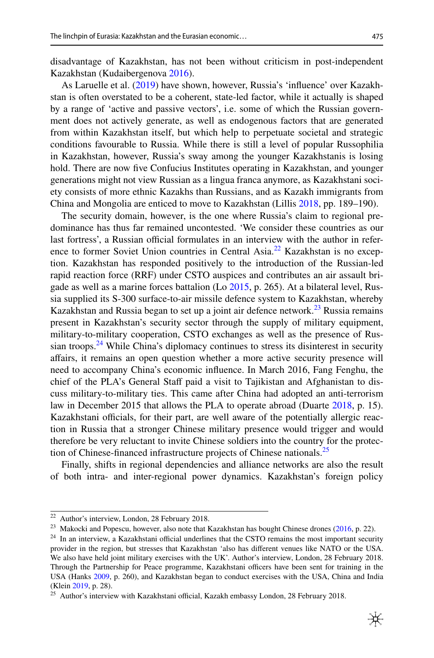disadvantage of Kazakhstan, has not been without criticism in post-independent Kazakhstan (Kudaibergenova [2016](#page-19-23)).

As Laruelle et al. [\(2019](#page-19-24)) have shown, however, Russia's 'infuence' over Kazakhstan is often overstated to be a coherent, state-led factor, while it actually is shaped by a range of 'active and passive vectors', i.e. some of which the Russian government does not actively generate, as well as endogenous factors that are generated from within Kazakhstan itself, but which help to perpetuate societal and strategic conditions favourable to Russia. While there is still a level of popular Russophilia in Kazakhstan, however, Russia's sway among the younger Kazakhstanis is losing hold. There are now fve Confucius Institutes operating in Kazakhstan, and younger generations might not view Russian as a lingua franca anymore, as Kazakhstani society consists of more ethnic Kazakhs than Russians, and as Kazakh immigrants from China and Mongolia are enticed to move to Kazakhstan (Lillis [2018,](#page-19-13) pp. 189–190).

The security domain, however, is the one where Russia's claim to regional predominance has thus far remained uncontested. 'We consider these countries as our last fortress', a Russian official formulates in an interview with the author in reference to former Soviet Union countries in Central Asia.<sup>22</sup> Kazakhstan is no exception. Kazakhstan has responded positively to the introduction of the Russian-led rapid reaction force (RRF) under CSTO auspices and contributes an air assault brigade as well as a marine forces battalion (Lo [2015](#page-19-21), p. 265). At a bilateral level, Russia supplied its S-300 surface-to-air missile defence system to Kazakhstan, whereby Kazakhstan and Russia began to set up a joint air defence network.<sup>[23](#page-13-1)</sup> Russia remains present in Kazakhstan's security sector through the supply of military equipment, military-to-military cooperation, CSTO exchanges as well as the presence of Russian troops. $24$  While China's diplomacy continues to stress its disinterest in security afairs, it remains an open question whether a more active security presence will need to accompany China's economic infuence. In March 2016, Fang Fenghu, the chief of the PLA's General Staff paid a visit to Tajikistan and Afghanistan to discuss military-to-military ties. This came after China had adopted an anti-terrorism law in December 2015 that allows the PLA to operate abroad (Duarte [2018,](#page-18-15) p. 15). Kazakhstani officials, for their part, are well aware of the potentially allergic reaction in Russia that a stronger Chinese military presence would trigger and would therefore be very reluctant to invite Chinese soldiers into the country for the protec-tion of Chinese-financed infrastructure projects of Chinese nationals.<sup>[25](#page-13-3)</sup>

Finally, shifts in regional dependencies and alliance networks are also the result of both intra- and inter-regional power dynamics. Kazakhstan's foreign policy

<span id="page-13-0"></span><sup>22</sup> Author's interview, London, 28 February 2018.

<span id="page-13-1"></span><sup>&</sup>lt;sup>23</sup> Makocki and Popescu, however, also note that Kazakhstan has bought Chinese drones [\(2016](#page-19-25), p. 22).

<span id="page-13-2"></span> $24$  In an interview, a Kazakhstani official underlines that the CSTO remains the most important security provider in the region, but stresses that Kazakhstan 'also has diferent venues like NATO or the USA. We also have held joint military exercises with the UK'. Author's interview, London, 28 February 2018. Through the Partnership for Peace programme, Kazakhstani officers have been sent for training in the USA (Hanks [2009,](#page-18-22) p. 260), and Kazakhstan began to conduct exercises with the USA, China and India (Klein [2019](#page-19-26), p. 28).

<span id="page-13-3"></span> $25$  Author's interview with Kazakhstani official, Kazakh embassy London, 28 February 2018.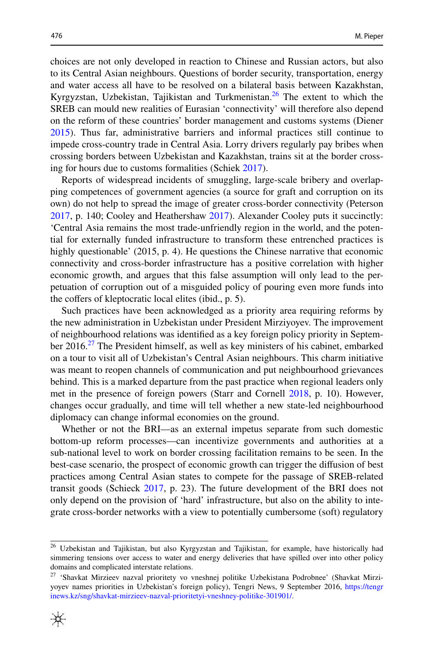choices are not only developed in reaction to Chinese and Russian actors, but also to its Central Asian neighbours. Questions of border security, transportation, energy and water access all have to be resolved on a bilateral basis between Kazakhstan, Kyrgyzstan, Uzbekistan, Tajikistan and Turkmenistan.<sup>26</sup> The extent to which the SREB can mould new realities of Eurasian 'connectivity' will therefore also depend on the reform of these countries' border management and customs systems (Diener [2015](#page-18-23)). Thus far, administrative barriers and informal practices still continue to impede cross-country trade in Central Asia. Lorry drivers regularly pay bribes when crossing borders between Uzbekistan and Kazakhstan, trains sit at the border crossing for hours due to customs formalities (Schiek [2017\)](#page-20-10).

Reports of widespread incidents of smuggling, large-scale bribery and overlapping competences of government agencies (a source for graft and corruption on its own) do not help to spread the image of greater cross-border connectivity (Peterson [2017](#page-19-11), p. 140; Cooley and Heathershaw [2017](#page-18-24)). Alexander Cooley puts it succinctly: 'Central Asia remains the most trade-unfriendly region in the world, and the potential for externally funded infrastructure to transform these entrenched practices is highly questionable' (2015, p. 4). He questions the Chinese narrative that economic connectivity and cross-border infrastructure has a positive correlation with higher economic growth, and argues that this false assumption will only lead to the perpetuation of corruption out of a misguided policy of pouring even more funds into the coffers of kleptocratic local elites (ibid., p. 5).

Such practices have been acknowledged as a priority area requiring reforms by the new administration in Uzbekistan under President Mirziyoyev. The improvement of neighbourhood relations was identifed as a key foreign policy priority in September 2016.[27](#page-14-1) The President himself, as well as key ministers of his cabinet, embarked on a tour to visit all of Uzbekistan's Central Asian neighbours. This charm initiative was meant to reopen channels of communication and put neighbourhood grievances behind. This is a marked departure from the past practice when regional leaders only met in the presence of foreign powers (Starr and Cornell [2018,](#page-20-11) p. 10). However, changes occur gradually, and time will tell whether a new state-led neighbourhood diplomacy can change informal economies on the ground.

Whether or not the BRI—as an external impetus separate from such domestic bottom-up reform processes—can incentivize governments and authorities at a sub-national level to work on border crossing facilitation remains to be seen. In the best-case scenario, the prospect of economic growth can trigger the difusion of best practices among Central Asian states to compete for the passage of SREB-related transit goods (Schieck [2017,](#page-20-10) p. 23). The future development of the BRI does not only depend on the provision of 'hard' infrastructure, but also on the ability to integrate cross-border networks with a view to potentially cumbersome (soft) regulatory

<span id="page-14-1"></span><sup>27</sup> 'Shavkat Mirzieev nazval prioritety vo vneshnej politike Uzbekistana Podrobnee' (Shavkat Mirziyoyev names priorities in Uzbekistan's foreign policy), Tengri News, 9 September 2016, [https://tengr](https://tengrinews.kz/sng/shavkat-mirzieev-nazval-prioritetyi-vneshney-politike-301901/) [inews.kz/sng/shavkat-mirzieev-nazval-prioritetyi-vneshney-politike-301901/.](https://tengrinews.kz/sng/shavkat-mirzieev-nazval-prioritetyi-vneshney-politike-301901/)



<span id="page-14-0"></span><sup>&</sup>lt;sup>26</sup> Uzbekistan and Tajikistan, but also Kyrgyzstan and Tajikistan, for example, have historically had simmering tensions over access to water and energy deliveries that have spilled over into other policy domains and complicated interstate relations.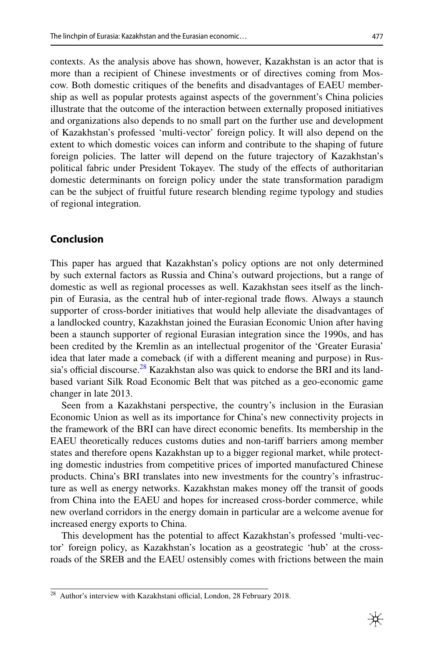contexts. As the analysis above has shown, however, Kazakhstan is an actor that is more than a recipient of Chinese investments or of directives coming from Moscow. Both domestic critiques of the benefts and disadvantages of EAEU membership as well as popular protests against aspects of the government's China policies illustrate that the outcome of the interaction between externally proposed initiatives and organizations also depends to no small part on the further use and development of Kazakhstan's professed 'multi-vector' foreign policy. It will also depend on the extent to which domestic voices can inform and contribute to the shaping of future foreign policies. The latter will depend on the future trajectory of Kazakhstan's political fabric under President Tokayev. The study of the effects of authoritarian domestic determinants on foreign policy under the state transformation paradigm can be the subject of fruitful future research blending regime typology and studies of regional integration.

### **Conclusion**

This paper has argued that Kazakhstan's policy options are not only determined by such external factors as Russia and China's outward projections, but a range of domestic as well as regional processes as well. Kazakhstan sees itself as the linchpin of Eurasia, as the central hub of inter-regional trade fows. Always a staunch supporter of cross-border initiatives that would help alleviate the disadvantages of a landlocked country, Kazakhstan joined the Eurasian Economic Union after having been a staunch supporter of regional Eurasian integration since the 1990s, and has been credited by the Kremlin as an intellectual progenitor of the 'Greater Eurasia' idea that later made a comeback (if with a diferent meaning and purpose) in Russia's official discourse.<sup>28</sup> Kazakhstan also was quick to endorse the BRI and its landbased variant Silk Road Economic Belt that was pitched as a geo-economic game changer in late 2013.

Seen from a Kazakhstani perspective, the country's inclusion in the Eurasian Economic Union as well as its importance for China's new connectivity projects in the framework of the BRI can have direct economic benefts. Its membership in the EAEU theoretically reduces customs duties and non-tarif barriers among member states and therefore opens Kazakhstan up to a bigger regional market, while protecting domestic industries from competitive prices of imported manufactured Chinese products. China's BRI translates into new investments for the country's infrastructure as well as energy networks. Kazakhstan makes money off the transit of goods from China into the EAEU and hopes for increased cross-border commerce, while new overland corridors in the energy domain in particular are a welcome avenue for increased energy exports to China.

This development has the potential to afect Kazakhstan's professed 'multi-vector' foreign policy, as Kazakhstan's location as a geostrategic 'hub' at the crossroads of the SREB and the EAEU ostensibly comes with frictions between the main

<span id="page-15-0"></span> $^{28}$  Author's interview with Kazakhstani official, London, 28 February 2018.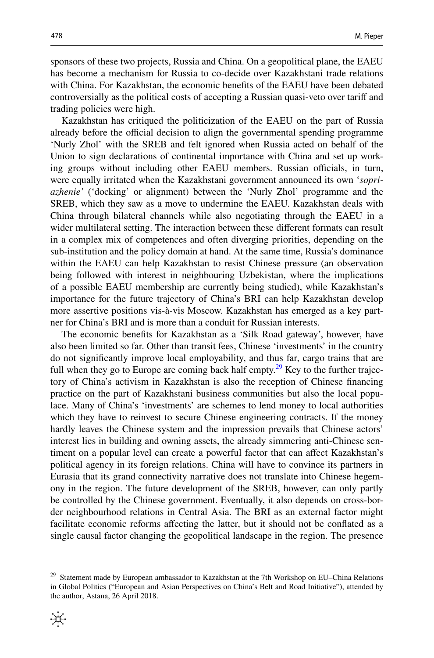sponsors of these two projects, Russia and China. On a geopolitical plane, the EAEU has become a mechanism for Russia to co-decide over Kazakhstani trade relations with China. For Kazakhstan, the economic benefts of the EAEU have been debated controversially as the political costs of accepting a Russian quasi-veto over tarif and trading policies were high.

Kazakhstan has critiqued the politicization of the EAEU on the part of Russia already before the official decision to align the governmental spending programme 'Nurly Zhol' with the SREB and felt ignored when Russia acted on behalf of the Union to sign declarations of continental importance with China and set up working groups without including other EAEU members. Russian officials, in turn, were equally irritated when the Kazakhstani government announced its own '*sopriazhenie'* ('docking' or alignment) between the 'Nurly Zhol' programme and the SREB, which they saw as a move to undermine the EAEU. Kazakhstan deals with China through bilateral channels while also negotiating through the EAEU in a wider multilateral setting. The interaction between these diferent formats can result in a complex mix of competences and often diverging priorities, depending on the sub-institution and the policy domain at hand. At the same time, Russia's dominance within the EAEU can help Kazakhstan to resist Chinese pressure (an observation being followed with interest in neighbouring Uzbekistan, where the implications of a possible EAEU membership are currently being studied), while Kazakhstan's importance for the future trajectory of China's BRI can help Kazakhstan develop more assertive positions vis-à-vis Moscow. Kazakhstan has emerged as a key partner for China's BRI and is more than a conduit for Russian interests.

The economic benefts for Kazakhstan as a 'Silk Road gateway', however, have also been limited so far. Other than transit fees, Chinese 'investments' in the country do not signifcantly improve local employability, and thus far, cargo trains that are full when they go to Europe are coming back half empty.<sup>29</sup> Key to the further trajectory of China's activism in Kazakhstan is also the reception of Chinese fnancing practice on the part of Kazakhstani business communities but also the local populace. Many of China's 'investments' are schemes to lend money to local authorities which they have to reinvest to secure Chinese engineering contracts. If the money hardly leaves the Chinese system and the impression prevails that Chinese actors' interest lies in building and owning assets, the already simmering anti-Chinese sentiment on a popular level can create a powerful factor that can afect Kazakhstan's political agency in its foreign relations. China will have to convince its partners in Eurasia that its grand connectivity narrative does not translate into Chinese hegemony in the region. The future development of the SREB, however, can only partly be controlled by the Chinese government. Eventually, it also depends on cross-border neighbourhood relations in Central Asia. The BRI as an external factor might facilitate economic reforms affecting the latter, but it should not be conflated as a single causal factor changing the geopolitical landscape in the region. The presence



<span id="page-16-0"></span><sup>&</sup>lt;sup>29</sup> Statement made by European ambassador to Kazakhstan at the 7th Workshop on EU–China Relations in Global Politics ("European and Asian Perspectives on China's Belt and Road Initiative"), attended by the author, Astana, 26 April 2018.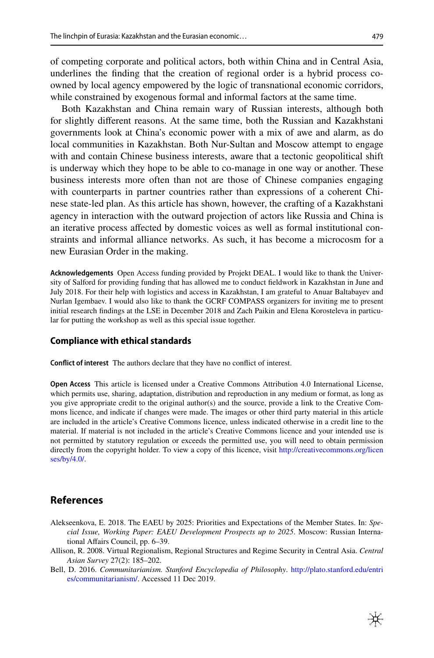of competing corporate and political actors, both within China and in Central Asia, underlines the fnding that the creation of regional order is a hybrid process coowned by local agency empowered by the logic of transnational economic corridors, while constrained by exogenous formal and informal factors at the same time.

Both Kazakhstan and China remain wary of Russian interests, although both for slightly diferent reasons. At the same time, both the Russian and Kazakhstani governments look at China's economic power with a mix of awe and alarm, as do local communities in Kazakhstan. Both Nur-Sultan and Moscow attempt to engage with and contain Chinese business interests, aware that a tectonic geopolitical shift is underway which they hope to be able to co-manage in one way or another. These business interests more often than not are those of Chinese companies engaging with counterparts in partner countries rather than expressions of a coherent Chinese state-led plan. As this article has shown, however, the crafting of a Kazakhstani agency in interaction with the outward projection of actors like Russia and China is an iterative process afected by domestic voices as well as formal institutional constraints and informal alliance networks. As such, it has become a microcosm for a new Eurasian Order in the making.

**Acknowledgements** Open Access funding provided by Projekt DEAL. I would like to thank the University of Salford for providing funding that has allowed me to conduct feldwork in Kazakhstan in June and July 2018. For their help with logistics and access in Kazakhstan, I am grateful to Anuar Baltabayev and Nurlan Igembaev. I would also like to thank the GCRF COMPASS organizers for inviting me to present initial research fndings at the LSE in December 2018 and Zach Paikin and Elena Korosteleva in particular for putting the workshop as well as this special issue together.

#### **Compliance with ethical standards**

**Confict of interest** The authors declare that they have no confict of interest.

**Open Access** This article is licensed under a Creative Commons Attribution 4.0 International License, which permits use, sharing, adaptation, distribution and reproduction in any medium or format, as long as you give appropriate credit to the original author(s) and the source, provide a link to the Creative Commons licence, and indicate if changes were made. The images or other third party material in this article are included in the article's Creative Commons licence, unless indicated otherwise in a credit line to the material. If material is not included in the article's Creative Commons licence and your intended use is not permitted by statutory regulation or exceeds the permitted use, you will need to obtain permission directly from the copyright holder. To view a copy of this licence, visit [http://creativecommons.org/licen](http://creativecommons.org/licenses/by/4.0/) [ses/by/4.0/](http://creativecommons.org/licenses/by/4.0/).

### **References**

- <span id="page-17-2"></span>Alekseenkova, E. 2018. The EAEU by 2025: Priorities and Expectations of the Member States. In: *Special Issue, Working Paper: EAEU Development Prospects up to 2025*. Moscow: Russian International Afairs Council, pp. 6–39.
- <span id="page-17-1"></span>Allison, R. 2008. Virtual Regionalism, Regional Structures and Regime Security in Central Asia. *Central Asian Survey* 27(2): 185–202.
- <span id="page-17-0"></span>Bell, D. 2016. *Communitarianism. Stanford Encyclopedia of Philosophy*. [http://plato.stanford.edu/entri](http://plato.stanford.edu/entries/communitarianism/) [es/communitarianism/](http://plato.stanford.edu/entries/communitarianism/). Accessed 11 Dec 2019.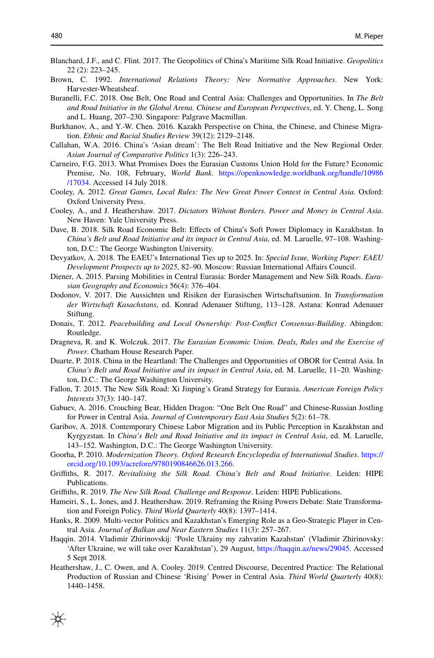- <span id="page-18-0"></span>Blanchard, J.F., and C. Flint. 2017. The Geopolitics of China's Maritime Silk Road Initiative. *Geopolitics* 22 (2): 223–245.
- <span id="page-18-5"></span>Brown, C. 1992. *International Relations Theory: New Normative Approaches*. New York: Harvester-Wheatsheaf.
- <span id="page-18-13"></span>Buranelli, F.C. 2018. One Belt, One Road and Central Asia: Challenges and Opportunities. In *The Belt and Road Initiative in the Global Arena. Chinese and European Perspectives*, ed. Y. Cheng, L. Song and L. Huang, 207–230. Singapore: Palgrave Macmillan.
- <span id="page-18-14"></span>Burkhanov, A., and Y.-W. Chen. 2016. Kazakh Perspective on China, the Chinese, and Chinese Migration. *Ethnic and Racial Studies Review* 39(12): 2129–2148.
- <span id="page-18-1"></span>Callahan, W.A. 2016. China's 'Asian dream': The Belt Road Initiative and the New Regional Order. *Asian Journal of Comparative Politics* 1(3): 226–243.
- <span id="page-18-19"></span>Carneiro, F.G. 2013. What Promises Does the Eurasian Customs Union Hold for the Future? Economic Premise, No. 108, February, *World Bank*. [https://openknowledge.worldbank.org/handle/10986](https://openknowledge.worldbank.org/handle/10986/17034) [/17034](https://openknowledge.worldbank.org/handle/10986/17034). Accessed 14 July 2018.
- <span id="page-18-6"></span>Cooley, A. 2012. *Great Games, Local Rules: The New Great Power Contest in Central Asia*. Oxford: Oxford University Press.
- <span id="page-18-24"></span>Cooley, A., and J. Heathershaw. 2017. *Dictators Without Borders. Power and Money in Central Asia*. New Haven: Yale University Press.
- <span id="page-18-11"></span>Dave, B. 2018. Silk Road Economic Belt: Efects of China's Soft Power Diplomacy in Kazakhstan. In *China's Belt and Road Initiative and its impact in Central Asia*, ed. M. Laruelle, 97–108. Washington, D.C.: The George Washington University.
- <span id="page-18-18"></span>Devyatkov, A. 2018. The EAEU's International Ties up to 2025. In: *Special Issue, Working Paper: EAEU Development Prospects up to 2025*, 82–90. Moscow: Russian International Afairs Council.
- <span id="page-18-23"></span>Diener, A. 2015. Parsing Mobilities in Central Eurasia: Border Management and New Silk Roads. *Eurasian Geography and Economics* 56(4): 376–404.
- <span id="page-18-20"></span>Dodonov, V. 2017. Die Aussichten und Risiken der Eurasischen Wirtschaftsunion. In *Transformation der Wirtschaft Kasachstans*, ed. Konrad Adenauer Stiftung, 113–128. Astana: Konrad Adenauer Stiftung.
- <span id="page-18-8"></span>Donais, T. 2012. *Peacebuilding and Local Ownership: Post-Confict Consensus-Building*. Abingdon: Routledge.
- <span id="page-18-16"></span>Dragneva, R. and K. Wolczuk. 2017. *The Eurasian Economic Union. Deals, Rules and the Exercise of Power*. Chatham House Research Paper.
- <span id="page-18-15"></span>Duarte, P. 2018. China in the Heartland: The Challenges and Opportunities of OBOR for Central Asia. In *China's Belt and Road Initiative and its impact in Central Asia*, ed. M. Laruelle, 11–20. Washington, D.C.: The George Washington University.
- <span id="page-18-2"></span>Fallon, T. 2015. The New Silk Road: Xi Jinping's Grand Strategy for Eurasia. *American Foreign Policy Interests* 37(3): 140–147.
- <span id="page-18-17"></span>Gabuev, A. 2016. Crouching Bear, Hidden Dragon: "One Belt One Road" and Chinese-Russian Jostling for Power in Central Asia. *Journal of Contemporary East Asia Studies* 5(2): 61–78.
- <span id="page-18-12"></span>Garibov, A. 2018. Contemporary Chinese Labor Migration and its Public Perception in Kazakhstan and Kyrgyzstan. In *China's Belt and Road Initiative and its impact in Central Asia*, ed. M. Laruelle, 143–152. Washington, D.C.: The George Washington University.
- <span id="page-18-7"></span>Goorha, P. 2010. *Modernization Theory. Oxford Research Encyclopedia of International Studies*. [https://](https://orcid.org/10.1093/acrefore/9780190846626.013.266) [orcid.org/10.1093/acrefore/9780190846626.013.266.](https://orcid.org/10.1093/acrefore/9780190846626.013.266)
- <span id="page-18-10"></span>Grifths, R. 2017. *Revitalising the Silk Road. China's Belt and Road Initiative*. Leiden: HIPE Publications.
- <span id="page-18-9"></span>Grifths, R. 2019. *The New Silk Road. Challenge and Response*. Leiden: HIPE Publications.
- <span id="page-18-3"></span>Hameiri, S., L. Jones, and J. Heathershaw. 2019. Reframing the Rising Powers Debate: State Transformation and Foreign Policy. *Third World Quarterly* 40(8): 1397–1414.
- <span id="page-18-22"></span>Hanks, R. 2009. Multi-vector Politics and Kazakhstan's Emerging Role as a Geo-Strategic Player in Central Asia. *Journal of Balkan and Near Eastern Studies* 11(3): 257–267.
- <span id="page-18-21"></span>Haqqin. 2014. Vladimir Zhirinovskij: 'Posle Ukrainy my zahvatim Kazahstan' (Vladimir Zhirinovsky: 'After Ukraine, we will take over Kazakhstan'), 29 August,<https://haqqin.az/news/29045>. Accessed 5 Sept 2018.
- <span id="page-18-4"></span>Heathershaw, J., C. Owen, and A. Cooley. 2019. Centred Discourse, Decentred Practice: The Relational Production of Russian and Chinese 'Rising' Power in Central Asia. *Third World Quarterly* 40(8): 1440–1458.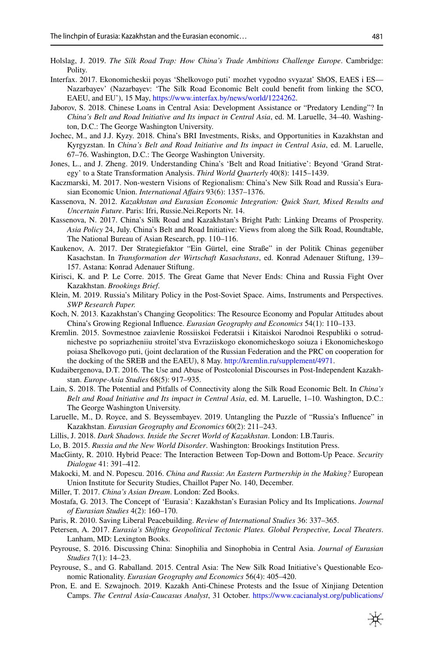- <span id="page-19-6"></span>Holslag, J. 2019. *The Silk Road Trap: How China's Trade Ambitions Challenge Europe*. Cambridge: Polity.
- <span id="page-19-20"></span>Interfax. 2017. Ekonomicheskii poyas 'Shelkovogo puti' mozhet vygodno svyazat' ShOS, EAES i ES— Nazarbayev' (Nazarbayev: 'The Silk Road Economic Belt could beneft from linking the SCO, EAEU, and EU'), 15 May, [https://www.interfax.by/news/world/1224262.](https://www.interfax.by/news/world/1224262)
- <span id="page-19-5"></span>Jaborov, S. 2018. Chinese Loans in Central Asia: Development Assistance or "Predatory Lending"? In *China's Belt and Road Initiative and Its impact in Central Asia*, ed. M. Laruelle, 34–40. Washington, D.C.: The George Washington University.
- <span id="page-19-10"></span>Jochec, M., and J.J. Kyzy. 2018. China's BRI Investments, Risks, and Opportunities in Kazakhstan and Kyrgyzstan. In *China's Belt and Road Initiative and Its impact in Central Asia*, ed. M. Laruelle, 67–76. Washington, D.C.: The George Washington University.
- <span id="page-19-14"></span>Jones, L., and J. Zheng. 2019. Understanding China's 'Belt and Road Initiative': Beyond 'Grand Strategy' to a State Transformation Analysis. *Third World Quarterly* 40(8): 1415–1439.
- <span id="page-19-18"></span>Kaczmarski, M. 2017. Non-western Visions of Regionalism: China's New Silk Road and Russia's Eurasian Economic Union. *International Afairs* 93(6): 1357–1376.
- <span id="page-19-22"></span>Kassenova, N. 2012. *Kazakhstan and Eurasian Economic Integration: Quick Start, Mixed Results and Uncertain Future*. Paris: Ifri, Russie.Nei.Reports Nr. 14.
- <span id="page-19-12"></span>Kassenova, N. 2017. China's Silk Road and Kazakhstan's Bright Path: Linking Dreams of Prosperity. *Asia Policy* 24, July. China's Belt and Road Initiative: Views from along the Silk Road, Roundtable, The National Bureau of Asian Research, pp. 110–116.
- <span id="page-19-2"></span>Kaukenov, A. 2017. Der Strategiefaktor "Ein Gürtel, eine Straße" in der Politik Chinas gegenüber Kasachstan. In *Transformation der Wirtschaft Kasachstans*, ed. Konrad Adenauer Stiftung, 139– 157. Astana: Konrad Adenauer Stiftung.
- <span id="page-19-4"></span>Kirisci, K. and P. Le Corre. 2015. The Great Game that Never Ends: China and Russia Fight Over Kazakhstan. *Brookings Brief*.
- <span id="page-19-26"></span>Klein, M. 2019. Russia's Military Policy in the Post-Soviet Space. Aims, Instruments and Perspectives. *SWP Research Paper.*
- <span id="page-19-16"></span>Koch, N. 2013. Kazakhstan's Changing Geopolitics: The Resource Economy and Popular Attitudes about China's Growing Regional Infuence. *Eurasian Geography and Economics* 54(1): 110–133.
- <span id="page-19-19"></span>Kremlin. 2015. Sovmestnoe zaiavlenie Rossiiskoi Federatsii i Kitaiskoi Narodnoi Respubliki o sotrudnichestve po sopriazheniiu stroitel'stva Evraziiskogo ekonomicheskogo soiuza i Ekonomicheskogo poiasa Shelkovogo puti, (joint declaration of the Russian Federation and the PRC on cooperation for the docking of the SREB and the EAEU), 8 May.<http://kremlin.ru/supplement/4971>.
- <span id="page-19-23"></span>Kudaibergenova, D.T. 2016. The Use and Abuse of Postcolonial Discourses in Post-Independent Kazakhstan. *Europe-Asia Studies* 68(5): 917–935.
- <span id="page-19-1"></span>Lain, S. 2018. The Potential and Pitfalls of Connectivity along the Silk Road Economic Belt. In *China's Belt and Road Initiative and Its impact in Central Asia*, ed. M. Laruelle, 1–10. Washington, D.C.: The George Washington University.
- <span id="page-19-24"></span>Laruelle, M., D. Royce, and S. Beyssembayev. 2019. Untangling the Puzzle of "Russia's Infuence" in Kazakhstan. *Eurasian Geography and Economics* 60(2): 211–243.
- <span id="page-19-13"></span>Lillis, J. 2018. *Dark Shadows. Inside the Secret World of Kazakhstan*. London: I.B.Tauris.
- <span id="page-19-21"></span>Lo, B. 2015. *Russia and the New World Disorder*. Washington: Brookings Institution Press.
- <span id="page-19-9"></span>MacGinty, R. 2010. Hybrid Peace: The Interaction Between Top-Down and Bottom-Up Peace. *Security Dialogue* 41: 391–412.

<span id="page-19-25"></span>Makocki, M. and N. Popescu. 2016. *China and Russia*: *An Eastern Partnership in the Making?* European Union Institute for Security Studies, Chaillot Paper No. 140, December.

- <span id="page-19-3"></span>Miller, T. 2017. *China's Asian Dream*. London: Zed Books.
- <span id="page-19-0"></span>Mostafa, G. 2013. The Concept of 'Eurasia': Kazakhstan's Eurasian Policy and Its Implications. *Journal of Eurasian Studies* 4(2): 160–170.
- <span id="page-19-8"></span>Paris, R. 2010. Saving Liberal Peacebuilding. *Review of International Studies* 36: 337–365.
- <span id="page-19-11"></span>Petersen, A. 2017. *Eurasia's Shifting Geopolitical Tectonic Plates. Global Perspective, Local Theaters*. Lanham, MD: Lexington Books.
- <span id="page-19-15"></span>Peyrouse, S. 2016. Discussing China: Sinophilia and Sinophobia in Central Asia. *Journal of Eurasian Studies* 7(1): 14–23.
- <span id="page-19-7"></span>Peyrouse, S., and G. Raballand. 2015. Central Asia: The New Silk Road Initiative's Questionable Economic Rationality. *Eurasian Geography and Economics* 56(4): 405–420.
- <span id="page-19-17"></span>Pron, E. and E. Szwajnoch. 2019. Kazakh Anti-Chinese Protests and the Issue of Xinjiang Detention Camps. *The Central Asia*-*Caucasus Analyst*, 31 October. [https://www.cacianalyst.org/publications/](https://www.cacianalyst.org/publications/analytical-articles/item/13593-kazakh-anti-chinese-protests-and-the-issue-of-xinjiang-detention-camps.html)